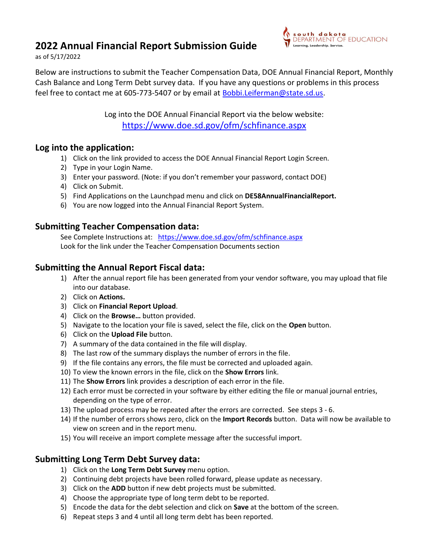# 2022 Annual Financial Report Submission Guide



as of 5/17/2022

Below are instructions to submit the Teacher Compensation Data, DOE Annual Financial Report, Monthly Cash Balance and Long Term Debt survey data. If you have any questions or problems in this process feel free to contact me at 605-773-5407 or by email at Bobbi.Leiferman@state.sd.us.

> Log into the DOE Annual Financial Report via the below website: https://www.doe.sd.gov/ofm/schfinance.aspx

#### Log into the application:

- 1) Click on the link provided to access the DOE Annual Financial Report Login Screen.
- 2) Type in your Login Name.
- 3) Enter your password. (Note: if you don't remember your password, contact DOE)
- 4) Click on Submit.
- 5) Find Applications on the Launchpad menu and click on DE58AnnualFinancialReport.
- 6) You are now logged into the Annual Financial Report System.

### Submitting Teacher Compensation data:

 See Complete Instructions at: https://www.doe.sd.gov/ofm/schfinance.aspx Look for the link under the Teacher Compensation Documents section

## Submitting the Annual Report Fiscal data:

- 1) After the annual report file has been generated from your vendor software, you may upload that file into our database.
- 2) Click on Actions.
- 3) Click on Financial Report Upload.
- 4) Click on the Browse... button provided.
- 5) Navigate to the location your file is saved, select the file, click on the Open button.
- 6) Click on the Upload File button.
- 7) A summary of the data contained in the file will display.
- 8) The last row of the summary displays the number of errors in the file.
- 9) If the file contains any errors, the file must be corrected and uploaded again.
- 10) To view the known errors in the file, click on the Show Errors link.
- 11) The Show Errors link provides a description of each error in the file.
- 12) Each error must be corrected in your software by either editing the file or manual journal entries, depending on the type of error.
- 13) The upload process may be repeated after the errors are corrected. See steps 3 6.
- 14) If the number of errors shows zero, click on the Import Records button. Data will now be available to view on screen and in the report menu.
- 15) You will receive an import complete message after the successful import.

### Submitting Long Term Debt Survey data:

- 1) Click on the Long Term Debt Survey menu option.
- 2) Continuing debt projects have been rolled forward, please update as necessary.
- 3) Click on the ADD button if new debt projects must be submitted.
- 4) Choose the appropriate type of long term debt to be reported.
- 5) Encode the data for the debt selection and click on Save at the bottom of the screen.
- 6) Repeat steps 3 and 4 until all long term debt has been reported.